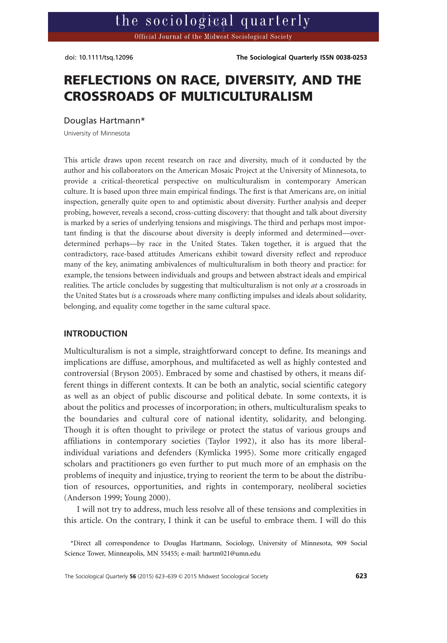doi: 10.1111/tsq.12096 **The Sociological Quarterly ISSN 0038-0253** doi: 10.1111/tsq.12096 The Sociological Quarterly ISSN 0038-0253

# **REFLECTIONS ON RACE, DIVERSITY, AND THE CROSSROADS OF MULTICULTURALISM**

Douglas Hartmann\*

University of Minnesota

This article draws upon recent research on race and diversity, much of it conducted by the author and his collaborators on the American Mosaic Project at the University of Minnesota, to provide a critical-theoretical perspective on multiculturalism in contemporary American culture. It is based upon three main empirical findings. The first is that Americans are, on initial inspection, generally quite open to and optimistic about diversity. Further analysis and deeper probing, however, reveals a second, cross-cutting discovery: that thought and talk about diversity is marked by a series of underlying tensions and misgivings. The third and perhaps most important finding is that the discourse about diversity is deeply informed and determined—overdetermined perhaps—by race in the United States. Taken together, it is argued that the contradictory, race-based attitudes Americans exhibit toward diversity reflect and reproduce many of the key, animating ambivalences of multiculturalism in both theory and practice: for example, the tensions between individuals and groups and between abstract ideals and empirical realities. The article concludes by suggesting that multiculturalism is not only *at* a crossroads in the United States but *is* a crossroads where many conflicting impulses and ideals about solidarity, belonging, and equality come together in the same cultural space.

### **INTRODUCTION**

Multiculturalism is not a simple, straightforward concept to define. Its meanings and implications are diffuse, amorphous, and multifaceted as well as highly contested and controversial (Bryson 2005). Embraced by some and chastised by others, it means different things in different contexts. It can be both an analytic, social scientific category as well as an object of public discourse and political debate. In some contexts, it is about the politics and processes of incorporation; in others, multiculturalism speaks to the boundaries and cultural core of national identity, solidarity, and belonging. Though it is often thought to privilege or protect the status of various groups and affiliations in contemporary societies (Taylor 1992), it also has its more liberalindividual variations and defenders (Kymlicka 1995). Some more critically engaged scholars and practitioners go even further to put much more of an emphasis on the problems of inequity and injustice, trying to reorient the term to be about the distribution of resources, opportunities, and rights in contemporary, neoliberal societies (Anderson 1999; Young 2000).

I will not try to address, much less resolve all of these tensions and complexities in this article. On the contrary, I think it can be useful to embrace them. I will do this

<sup>\*</sup>Direct all correspondence to Douglas Hartmann, Sociology, University of Minnesota, 909 Social Tower, Minneapolis, MN 55455; e-mail: hartm021@umn.edu Science Tower, Minneapolis, MN 55455; e-mail: hartm021@umn.edu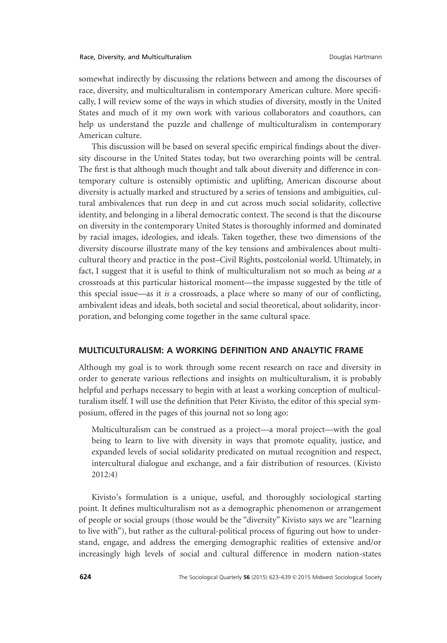somewhat indirectly by discussing the relations between and among the discourses of race, diversity, and multiculturalism in contemporary American culture. More specifically, I will review some of the ways in which studies of diversity, mostly in the United States and much of it my own work with various collaborators and coauthors, can help us understand the puzzle and challenge of multiculturalism in contemporary American culture.

This discussion will be based on several specific empirical findings about the diversity discourse in the United States today, but two overarching points will be central. The first is that although much thought and talk about diversity and difference in contemporary culture is ostensibly optimistic and uplifting, American discourse about diversity is actually marked and structured by a series of tensions and ambiguities, cultural ambivalences that run deep in and cut across much social solidarity, collective identity, and belonging in a liberal democratic context. The second is that the discourse on diversity in the contemporary United States is thoroughly informed and dominated by racial images, ideologies, and ideals. Taken together, these two dimensions of the diversity discourse illustrate many of the key tensions and ambivalences about multicultural theory and practice in the post–Civil Rights, postcolonial world. Ultimately, in fact, I suggest that it is useful to think of multiculturalism not so much as being *at* a crossroads at this particular historical moment—the impasse suggested by the title of this special issue—as it *is* a crossroads, a place where so many of our of conflicting, ambivalent ideas and ideals, both societal and social theoretical, about solidarity, incorporation, and belonging come together in the same cultural space.

### **MULTICULTURALISM: A WORKING DEFINITION AND ANALYTIC FRAME**

Although my goal is to work through some recent research on race and diversity in order to generate various reflections and insights on multiculturalism, it is probably helpful and perhaps necessary to begin with at least a working conception of multiculturalism itself. I will use the definition that Peter Kivisto, the editor of this special symposium, offered in the pages of this journal not so long ago:

Multiculturalism can be construed as a project—a moral project—with the goal being to learn to live with diversity in ways that promote equality, justice, and expanded levels of social solidarity predicated on mutual recognition and respect, intercultural dialogue and exchange, and a fair distribution of resources. (Kivisto 2012:4)

Kivisto's formulation is a unique, useful, and thoroughly sociological starting point. It defines multiculturalism not as a demographic phenomenon or arrangement of people or social groups (those would be the "diversity" Kivisto says we are "learning to live with"), but rather as the cultural-political process of figuring out how to understand, engage, and address the emerging demographic realities of extensive and/or increasingly high levels of social and cultural difference in modern nation-states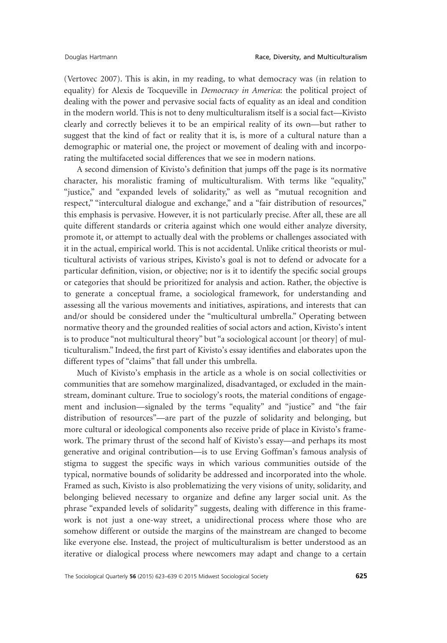(Vertovec 2007). This is akin, in my reading, to what democracy was (in relation to equality) for Alexis de Tocqueville in *Democracy in America*: the political project of dealing with the power and pervasive social facts of equality as an ideal and condition in the modern world. This is not to deny multiculturalism itself is a social fact—Kivisto clearly and correctly believes it to be an empirical reality of its own—but rather to suggest that the kind of fact or reality that it is, is more of a cultural nature than a demographic or material one, the project or movement of dealing with and incorporating the multifaceted social differences that we see in modern nations.

A second dimension of Kivisto's definition that jumps off the page is its normative character, his moralistic framing of multiculturalism. With terms like "equality," "justice," and "expanded levels of solidarity," as well as "mutual recognition and respect," "intercultural dialogue and exchange," and a "fair distribution of resources," this emphasis is pervasive. However, it is not particularly precise. After all, these are all quite different standards or criteria against which one would either analyze diversity, promote it, or attempt to actually deal with the problems or challenges associated with it in the actual, empirical world. This is not accidental. Unlike critical theorists or multicultural activists of various stripes, Kivisto's goal is not to defend or advocate for a particular definition, vision, or objective; nor is it to identify the specific social groups or categories that should be prioritized for analysis and action. Rather, the objective is to generate a conceptual frame, a sociological framework, for understanding and assessing all the various movements and initiatives, aspirations, and interests that can and/or should be considered under the "multicultural umbrella." Operating between normative theory and the grounded realities of social actors and action, Kivisto's intent is to produce "not multicultural theory" but "a sociological account [or theory] of multiculturalism." Indeed, the first part of Kivisto's essay identifies and elaborates upon the different types of "claims" that fall under this umbrella.

Much of Kivisto's emphasis in the article as a whole is on social collectivities or communities that are somehow marginalized, disadvantaged, or excluded in the mainstream, dominant culture. True to sociology's roots, the material conditions of engagement and inclusion—signaled by the terms "equality" and "justice" and "the fair distribution of resources"—are part of the puzzle of solidarity and belonging, but more cultural or ideological components also receive pride of place in Kivisto's framework. The primary thrust of the second half of Kivisto's essay—and perhaps its most generative and original contribution—is to use Erving Goffman's famous analysis of stigma to suggest the specific ways in which various communities outside of the typical, normative bounds of solidarity be addressed and incorporated into the whole. Framed as such, Kivisto is also problematizing the very visions of unity, solidarity, and belonging believed necessary to organize and define any larger social unit. As the phrase "expanded levels of solidarity" suggests, dealing with difference in this framework is not just a one-way street, a unidirectional process where those who are somehow different or outside the margins of the mainstream are changed to become like everyone else. Instead, the project of multiculturalism is better understood as an iterative or dialogical process where newcomers may adapt and change to a certain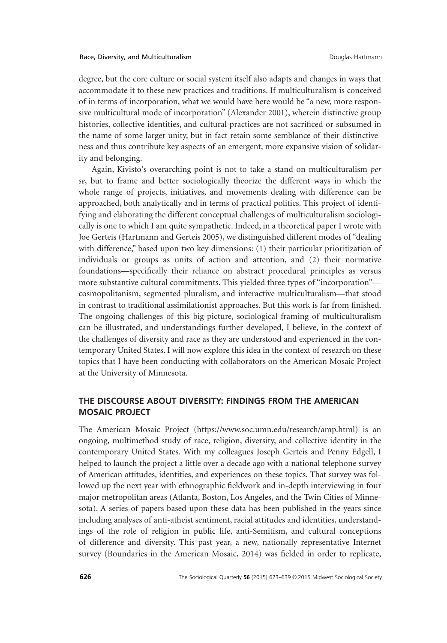degree, but the core culture or social system itself also adapts and changes in ways that accommodate it to these new practices and traditions. If multiculturalism is conceived of in terms of incorporation, what we would have here would be "a new, more responsive multicultural mode of incorporation" (Alexander 2001), wherein distinctive group histories, collective identities, and cultural practices are not sacrificed or subsumed in the name of some larger unity, but in fact retain some semblance of their distinctiveness and thus contribute key aspects of an emergent, more expansive vision of solidarity and belonging.

Again, Kivisto's overarching point is not to take a stand on multiculturalism *per se*, but to frame and better sociologically theorize the different ways in which the whole range of projects, initiatives, and movements dealing with difference can be approached, both analytically and in terms of practical politics. This project of identifying and elaborating the different conceptual challenges of multiculturalism sociologically is one to which I am quite sympathetic. Indeed, in a theoretical paper I wrote with Joe Gerteis (Hartmann and Gerteis 2005), we distinguished different modes of "dealing with difference," based upon two key dimensions: (1) their particular prioritization of individuals or groups as units of action and attention, and (2) their normative foundations—specifically their reliance on abstract procedural principles as versus more substantive cultural commitments. This yielded three types of "incorporation" cosmopolitanism, segmented pluralism, and interactive multiculturalism—that stood in contrast to traditional assimilationist approaches. But this work is far from finished. The ongoing challenges of this big-picture, sociological framing of multiculturalism can be illustrated, and understandings further developed, I believe, in the context of the challenges of diversity and race as they are understood and experienced in the contemporary United States. I will now explore this idea in the context of research on these topics that I have been conducting with collaborators on the American Mosaic Project at the University of Minnesota.

# **THE DISCOURSE ABOUT DIVERSITY: FINDINGS FROM THE AMERICAN MOSAIC PROJECT**

The American Mosaic Project (https://www.soc.umn.edu/research/amp.html) is an ongoing, multimethod study of race, religion, diversity, and collective identity in the contemporary United States. With my colleagues Joseph Gerteis and Penny Edgell, I helped to launch the project a little over a decade ago with a national telephone survey of American attitudes, identities, and experiences on these topics. That survey was followed up the next year with ethnographic fieldwork and in-depth interviewing in four major metropolitan areas (Atlanta, Boston, Los Angeles, and the Twin Cities of Minnesota). A series of papers based upon these data has been published in the years since including analyses of anti-atheist sentiment, racial attitudes and identities, understandings of the role of religion in public life, anti-Semitism, and cultural conceptions of difference and diversity. This past year, a new, nationally representative Internet survey (Boundaries in the American Mosaic, 2014) was fielded in order to replicate,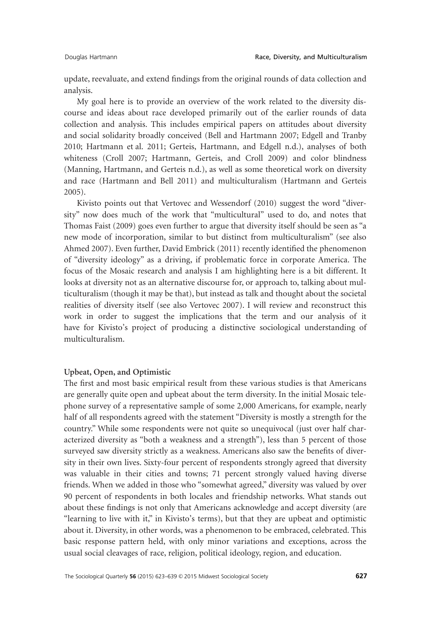update, reevaluate, and extend findings from the original rounds of data collection and analysis.

My goal here is to provide an overview of the work related to the diversity discourse and ideas about race developed primarily out of the earlier rounds of data collection and analysis. This includes empirical papers on attitudes about diversity and social solidarity broadly conceived (Bell and Hartmann 2007; Edgell and Tranby 2010; Hartmann et al. 2011; Gerteis, Hartmann, and Edgell n.d.), analyses of both whiteness (Croll 2007; Hartmann, Gerteis, and Croll 2009) and color blindness (Manning, Hartmann, and Gerteis n.d.), as well as some theoretical work on diversity and race (Hartmann and Bell 2011) and multiculturalism (Hartmann and Gerteis 2005).

Kivisto points out that Vertovec and Wessendorf (2010) suggest the word "diversity" now does much of the work that "multicultural" used to do, and notes that Thomas Faist (2009) goes even further to argue that diversity itself should be seen as "a new mode of incorporation, similar to but distinct from multiculturalism" (see also Ahmed 2007). Even further, David Embrick (2011) recently identified the phenomenon of "diversity ideology" as a driving, if problematic force in corporate America. The focus of the Mosaic research and analysis I am highlighting here is a bit different. It looks at diversity not as an alternative discourse for, or approach to, talking about multiculturalism (though it may be that), but instead as talk and thought about the societal realities of diversity itself (see also Vertovec 2007). I will review and reconstruct this work in order to suggest the implications that the term and our analysis of it have for Kivisto's project of producing a distinctive sociological understanding of multiculturalism.

#### **Upbeat, Open, and Optimistic**

The first and most basic empirical result from these various studies is that Americans are generally quite open and upbeat about the term diversity. In the initial Mosaic telephone survey of a representative sample of some 2,000 Americans, for example, nearly half of all respondents agreed with the statement "Diversity is mostly a strength for the country." While some respondents were not quite so unequivocal (just over half characterized diversity as "both a weakness and a strength"), less than 5 percent of those surveyed saw diversity strictly as a weakness. Americans also saw the benefits of diversity in their own lives. Sixty-four percent of respondents strongly agreed that diversity was valuable in their cities and towns; 71 percent strongly valued having diverse friends. When we added in those who "somewhat agreed," diversity was valued by over 90 percent of respondents in both locales and friendship networks. What stands out about these findings is not only that Americans acknowledge and accept diversity (are "learning to live with it," in Kivisto's terms), but that they are upbeat and optimistic about it. Diversity, in other words, was a phenomenon to be embraced, celebrated. This basic response pattern held, with only minor variations and exceptions, across the usual social cleavages of race, religion, political ideology, region, and education.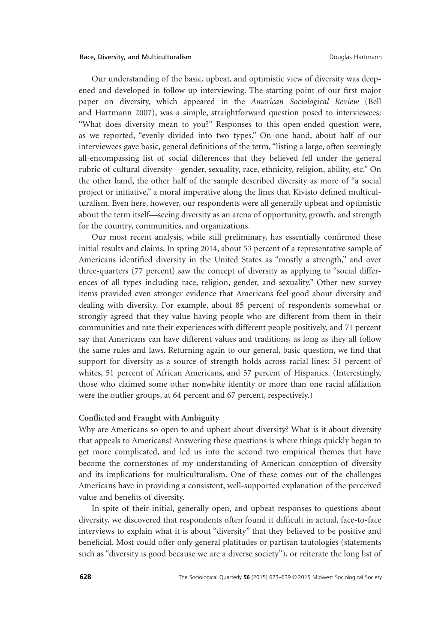Our understanding of the basic, upbeat, and optimistic view of diversity was deepened and developed in follow-up interviewing. The starting point of our first major paper on diversity, which appeared in the *American Sociological Review* (Bell and Hartmann 2007), was a simple, straightforward question posed to interviewees: "What does diversity mean to you?" Responses to this open-ended question were, as we reported, "evenly divided into two types." On one hand, about half of our interviewees gave basic, general definitions of the term, "listing a large, often seemingly all-encompassing list of social differences that they believed fell under the general rubric of cultural diversity—gender, sexuality, race, ethnicity, religion, ability, etc." On the other hand, the other half of the sample described diversity as more of "a social project or initiative," a moral imperative along the lines that Kivisto defined multiculturalism. Even here, however, our respondents were all generally upbeat and optimistic about the term itself—seeing diversity as an arena of opportunity, growth, and strength for the country, communities, and organizations.

Our most recent analysis, while still preliminary, has essentially confirmed these initial results and claims. In spring 2014, about 53 percent of a representative sample of Americans identified diversity in the United States as "mostly a strength," and over three-quarters (77 percent) saw the concept of diversity as applying to "social differences of all types including race, religion, gender, and sexuality." Other new survey items provided even stronger evidence that Americans feel good about diversity and dealing with diversity. For example, about 85 percent of respondents somewhat or strongly agreed that they value having people who are different from them in their communities and rate their experiences with different people positively, and 71 percent say that Americans can have different values and traditions, as long as they all follow the same rules and laws. Returning again to our general, basic question, we find that support for diversity as a source of strength holds across racial lines: 51 percent of whites, 51 percent of African Americans, and 57 percent of Hispanics. (Interestingly, those who claimed some other nonwhite identity or more than one racial affiliation were the outlier groups, at 64 percent and 67 percent, respectively.)

#### **Conflicted and Fraught with Ambiguity**

Why are Americans so open to and upbeat about diversity? What is it about diversity that appeals to Americans? Answering these questions is where things quickly began to get more complicated, and led us into the second two empirical themes that have become the cornerstones of my understanding of American conception of diversity and its implications for multiculturalism. One of these comes out of the challenges Americans have in providing a consistent, well-supported explanation of the perceived value and benefits of diversity.

In spite of their initial, generally open, and upbeat responses to questions about diversity, we discovered that respondents often found it difficult in actual, face-to-face interviews to explain what it is about "diversity" that they believed to be positive and beneficial. Most could offer only general platitudes or partisan tautologies (statements such as "diversity is good because we are a diverse society"), or reiterate the long list of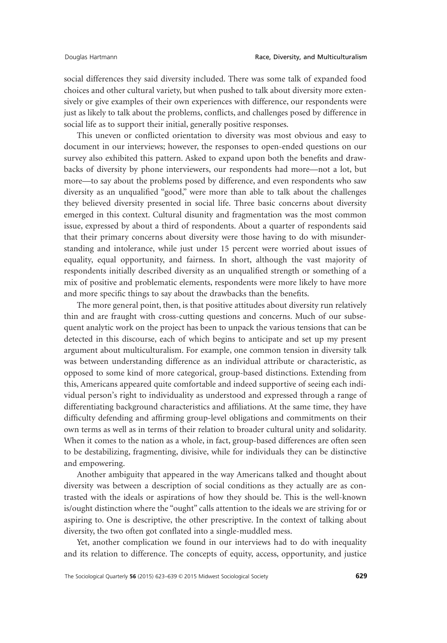social differences they said diversity included. There was some talk of expanded food choices and other cultural variety, but when pushed to talk about diversity more extensively or give examples of their own experiences with difference, our respondents were just as likely to talk about the problems, conflicts, and challenges posed by difference in social life as to support their initial, generally positive responses.

This uneven or conflicted orientation to diversity was most obvious and easy to document in our interviews; however, the responses to open-ended questions on our survey also exhibited this pattern. Asked to expand upon both the benefits and drawbacks of diversity by phone interviewers, our respondents had more—not a lot, but more—to say about the problems posed by difference, and even respondents who saw diversity as an unqualified "good," were more than able to talk about the challenges they believed diversity presented in social life. Three basic concerns about diversity emerged in this context. Cultural disunity and fragmentation was the most common issue, expressed by about a third of respondents. About a quarter of respondents said that their primary concerns about diversity were those having to do with misunderstanding and intolerance, while just under 15 percent were worried about issues of equality, equal opportunity, and fairness. In short, although the vast majority of respondents initially described diversity as an unqualified strength or something of a mix of positive and problematic elements, respondents were more likely to have more and more specific things to say about the drawbacks than the benefits.

The more general point, then, is that positive attitudes about diversity run relatively thin and are fraught with cross-cutting questions and concerns. Much of our subsequent analytic work on the project has been to unpack the various tensions that can be detected in this discourse, each of which begins to anticipate and set up my present argument about multiculturalism. For example, one common tension in diversity talk was between understanding difference as an individual attribute or characteristic, as opposed to some kind of more categorical, group-based distinctions. Extending from this, Americans appeared quite comfortable and indeed supportive of seeing each individual person's right to individuality as understood and expressed through a range of differentiating background characteristics and affiliations. At the same time, they have difficulty defending and affirming group-level obligations and commitments on their own terms as well as in terms of their relation to broader cultural unity and solidarity. When it comes to the nation as a whole, in fact, group-based differences are often seen to be destabilizing, fragmenting, divisive, while for individuals they can be distinctive and empowering.

Another ambiguity that appeared in the way Americans talked and thought about diversity was between a description of social conditions as they actually are as contrasted with the ideals or aspirations of how they should be. This is the well-known is/ought distinction where the "ought" calls attention to the ideals we are striving for or aspiring to. One is descriptive, the other prescriptive. In the context of talking about diversity, the two often got conflated into a single-muddled mess.

Yet, another complication we found in our interviews had to do with inequality and its relation to difference. The concepts of equity, access, opportunity, and justice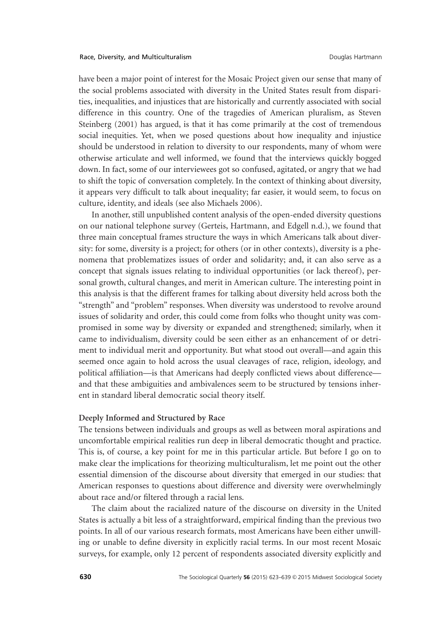have been a major point of interest for the Mosaic Project given our sense that many of the social problems associated with diversity in the United States result from disparities, inequalities, and injustices that are historically and currently associated with social difference in this country. One of the tragedies of American pluralism, as Steven Steinberg (2001) has argued, is that it has come primarily at the cost of tremendous social inequities. Yet, when we posed questions about how inequality and injustice should be understood in relation to diversity to our respondents, many of whom were otherwise articulate and well informed, we found that the interviews quickly bogged down. In fact, some of our interviewees got so confused, agitated, or angry that we had to shift the topic of conversation completely. In the context of thinking about diversity, it appears very difficult to talk about inequality; far easier, it would seem, to focus on culture, identity, and ideals (see also Michaels 2006).

In another, still unpublished content analysis of the open-ended diversity questions on our national telephone survey (Gerteis, Hartmann, and Edgell n.d.), we found that three main conceptual frames structure the ways in which Americans talk about diversity: for some, diversity is a project; for others (or in other contexts), diversity is a phenomena that problematizes issues of order and solidarity; and, it can also serve as a concept that signals issues relating to individual opportunities (or lack thereof), personal growth, cultural changes, and merit in American culture. The interesting point in this analysis is that the different frames for talking about diversity held across both the "strength" and "problem" responses. When diversity was understood to revolve around issues of solidarity and order, this could come from folks who thought unity was compromised in some way by diversity or expanded and strengthened; similarly, when it came to individualism, diversity could be seen either as an enhancement of or detriment to individual merit and opportunity. But what stood out overall—and again this seemed once again to hold across the usual cleavages of race, religion, ideology, and political affiliation—is that Americans had deeply conflicted views about difference and that these ambiguities and ambivalences seem to be structured by tensions inherent in standard liberal democratic social theory itself.

#### **Deeply Informed and Structured by Race**

The tensions between individuals and groups as well as between moral aspirations and uncomfortable empirical realities run deep in liberal democratic thought and practice. This is, of course, a key point for me in this particular article. But before I go on to make clear the implications for theorizing multiculturalism, let me point out the other essential dimension of the discourse about diversity that emerged in our studies: that American responses to questions about difference and diversity were overwhelmingly about race and/or filtered through a racial lens.

The claim about the racialized nature of the discourse on diversity in the United States is actually a bit less of a straightforward, empirical finding than the previous two points. In all of our various research formats, most Americans have been either unwilling or unable to define diversity in explicitly racial terms. In our most recent Mosaic surveys, for example, only 12 percent of respondents associated diversity explicitly and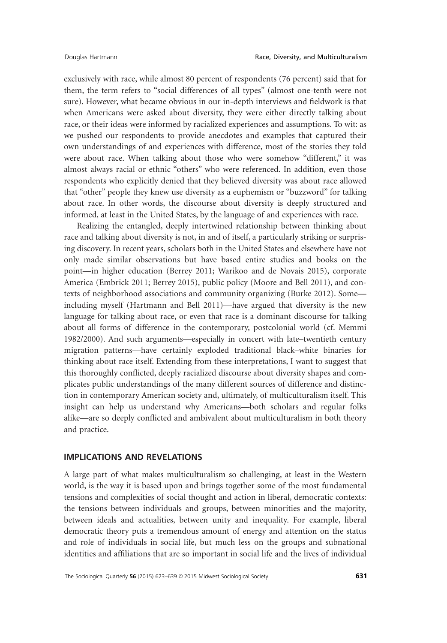exclusively with race, while almost 80 percent of respondents (76 percent) said that for them, the term refers to "social differences of all types" (almost one-tenth were not sure). However, what became obvious in our in-depth interviews and fieldwork is that when Americans were asked about diversity, they were either directly talking about race, or their ideas were informed by racialized experiences and assumptions. To wit: as we pushed our respondents to provide anecdotes and examples that captured their own understandings of and experiences with difference, most of the stories they told were about race. When talking about those who were somehow "different," it was almost always racial or ethnic "others" who were referenced. In addition, even those respondents who explicitly denied that they believed diversity was about race allowed that "other" people they knew use diversity as a euphemism or "buzzword" for talking about race. In other words, the discourse about diversity is deeply structured and informed, at least in the United States, by the language of and experiences with race.

Realizing the entangled, deeply intertwined relationship between thinking about race and talking about diversity is not, in and of itself, a particularly striking or surprising discovery. In recent years, scholars both in the United States and elsewhere have not only made similar observations but have based entire studies and books on the point—in higher education (Berrey 2011; Warikoo and de Novais 2015), corporate America (Embrick 2011; Berrey 2015), public policy (Moore and Bell 2011), and contexts of neighborhood associations and community organizing (Burke 2012). Some including myself (Hartmann and Bell 2011)—have argued that diversity is the new language for talking about race, or even that race is a dominant discourse for talking about all forms of difference in the contemporary, postcolonial world (cf. Memmi 1982/2000). And such arguments—especially in concert with late–twentieth century migration patterns—have certainly exploded traditional black–white binaries for thinking about race itself. Extending from these interpretations, I want to suggest that this thoroughly conflicted, deeply racialized discourse about diversity shapes and complicates public understandings of the many different sources of difference and distinction in contemporary American society and, ultimately, of multiculturalism itself. This insight can help us understand why Americans—both scholars and regular folks alike—are so deeply conflicted and ambivalent about multiculturalism in both theory and practice.

#### **IMPLICATIONS AND REVELATIONS**

A large part of what makes multiculturalism so challenging, at least in the Western world, is the way it is based upon and brings together some of the most fundamental tensions and complexities of social thought and action in liberal, democratic contexts: the tensions between individuals and groups, between minorities and the majority, between ideals and actualities, between unity and inequality. For example, liberal democratic theory puts a tremendous amount of energy and attention on the status and role of individuals in social life, but much less on the groups and subnational identities and affiliations that are so important in social life and the lives of individual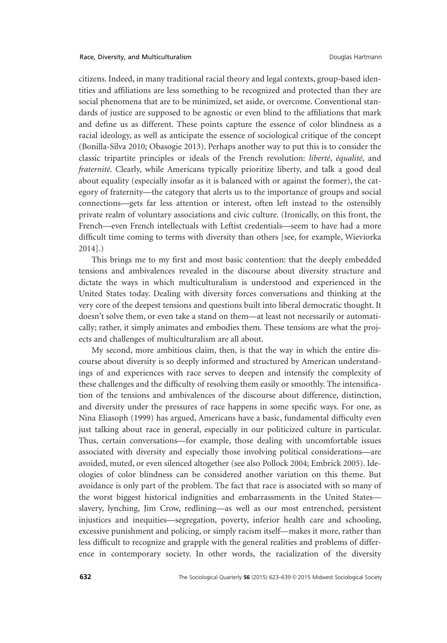citizens. Indeed, in many traditional racial theory and legal contexts, group-based identities and affiliations are less something to be recognized and protected than they are social phenomena that are to be minimized, set aside, or overcome. Conventional standards of justice are supposed to be agnostic or even blind to the affiliations that mark and define us as different. These points capture the essence of color blindness as a racial ideology, as well as anticipate the essence of sociological critique of the concept (Bonilla-Silva 2010; Obasogie 2013). Perhaps another way to put this is to consider the classic tripartite principles or ideals of the French revolution: *liberté*, *équalité*, and *fraternité*. Clearly, while Americans typically prioritize liberty, and talk a good deal about equality (especially insofar as it is balanced with or against the former), the category of fraternity—the category that alerts us to the importance of groups and social connections—gets far less attention or interest, often left instead to the ostensibly private realm of voluntary associations and civic culture. (Ironically, on this front, the French—even French intellectuals with Leftist credentials—seem to have had a more difficult time coming to terms with diversity than others [see, for example, Wieviorka 2014].)

This brings me to my first and most basic contention: that the deeply embedded tensions and ambivalences revealed in the discourse about diversity structure and dictate the ways in which multiculturalism is understood and experienced in the United States today. Dealing with diversity forces conversations and thinking at the very core of the deepest tensions and questions built into liberal democratic thought. It doesn't solve them, or even take a stand on them—at least not necessarily or automatically; rather, it simply animates and embodies them. These tensions are what the projects and challenges of multiculturalism are all about.

My second, more ambitious claim, then, is that the way in which the entire discourse about diversity is so deeply informed and structured by American understandings of and experiences with race serves to deepen and intensify the complexity of these challenges and the difficulty of resolving them easily or smoothly. The intensification of the tensions and ambivalences of the discourse about difference, distinction, and diversity under the pressures of race happens in some specific ways. For one, as Nina Eliasoph (1999) has argued, Americans have a basic, fundamental difficulty even just talking about race in general, especially in our politicized culture in particular. Thus, certain conversations—for example, those dealing with uncomfortable issues associated with diversity and especially those involving political considerations—are avoided, muted, or even silenced altogether (see also Pollock 2004; Embrick 2005). Ideologies of color blindness can be considered another variation on this theme. But avoidance is only part of the problem. The fact that race is associated with so many of the worst biggest historical indignities and embarrassments in the United States slavery, lynching, Jim Crow, redlining—as well as our most entrenched, persistent injustices and inequities—segregation, poverty, inferior health care and schooling, excessive punishment and policing, or simply racism itself—makes it more, rather than less difficult to recognize and grapple with the general realities and problems of difference in contemporary society. In other words, the racialization of the diversity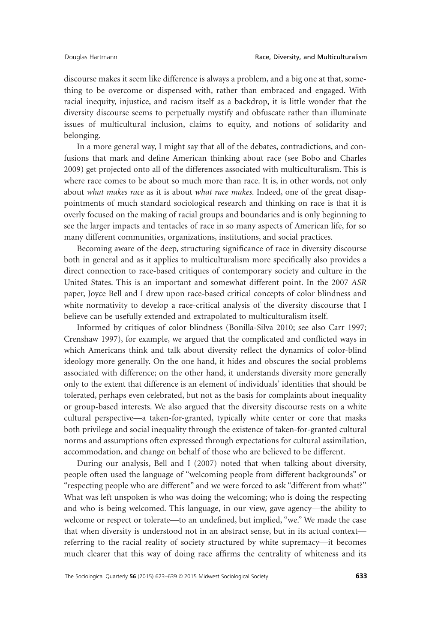discourse makes it seem like difference is always a problem, and a big one at that, something to be overcome or dispensed with, rather than embraced and engaged. With racial inequity, injustice, and racism itself as a backdrop, it is little wonder that the diversity discourse seems to perpetually mystify and obfuscate rather than illuminate issues of multicultural inclusion, claims to equity, and notions of solidarity and belonging.

In a more general way, I might say that all of the debates, contradictions, and confusions that mark and define American thinking about race (see Bobo and Charles 2009) get projected onto all of the differences associated with multiculturalism. This is where race comes to be about so much more than race. It is, in other words, not only about *what makes race* as it is about *what race makes*. Indeed, one of the great disappointments of much standard sociological research and thinking on race is that it is overly focused on the making of racial groups and boundaries and is only beginning to see the larger impacts and tentacles of race in so many aspects of American life, for so many different communities, organizations, institutions, and social practices.

Becoming aware of the deep, structuring significance of race in diversity discourse both in general and as it applies to multiculturalism more specifically also provides a direct connection to race-based critiques of contemporary society and culture in the United States. This is an important and somewhat different point. In the 2007 *ASR* paper, Joyce Bell and I drew upon race-based critical concepts of color blindness and white normativity to develop a race-critical analysis of the diversity discourse that I believe can be usefully extended and extrapolated to multiculturalism itself.

Informed by critiques of color blindness (Bonilla-Silva 2010; see also Carr 1997; Crenshaw 1997), for example, we argued that the complicated and conflicted ways in which Americans think and talk about diversity reflect the dynamics of color-blind ideology more generally. On the one hand, it hides and obscures the social problems associated with difference; on the other hand, it understands diversity more generally only to the extent that difference is an element of individuals' identities that should be tolerated, perhaps even celebrated, but not as the basis for complaints about inequality or group-based interests. We also argued that the diversity discourse rests on a white cultural perspective—a taken-for-granted, typically white center or core that masks both privilege and social inequality through the existence of taken-for-granted cultural norms and assumptions often expressed through expectations for cultural assimilation, accommodation, and change on behalf of those who are believed to be different.

During our analysis, Bell and I (2007) noted that when talking about diversity, people often used the language of "welcoming people from different backgrounds" or "respecting people who are different" and we were forced to ask "different from what?" What was left unspoken is who was doing the welcoming; who is doing the respecting and who is being welcomed. This language, in our view, gave agency—the ability to welcome or respect or tolerate—to an undefined, but implied, "we." We made the case that when diversity is understood not in an abstract sense, but in its actual context referring to the racial reality of society structured by white supremacy—it becomes much clearer that this way of doing race affirms the centrality of whiteness and its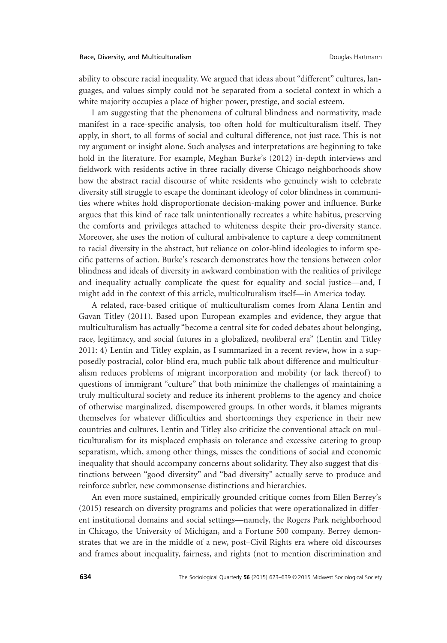ability to obscure racial inequality. We argued that ideas about "different" cultures, languages, and values simply could not be separated from a societal context in which a white majority occupies a place of higher power, prestige, and social esteem.

I am suggesting that the phenomena of cultural blindness and normativity, made manifest in a race-specific analysis, too often hold for multiculturalism itself. They apply, in short, to all forms of social and cultural difference, not just race. This is not my argument or insight alone. Such analyses and interpretations are beginning to take hold in the literature. For example, Meghan Burke's (2012) in-depth interviews and fieldwork with residents active in three racially diverse Chicago neighborhoods show how the abstract racial discourse of white residents who genuinely wish to celebrate diversity still struggle to escape the dominant ideology of color blindness in communities where whites hold disproportionate decision-making power and influence. Burke argues that this kind of race talk unintentionally recreates a white habitus, preserving the comforts and privileges attached to whiteness despite their pro-diversity stance. Moreover, she uses the notion of cultural ambivalence to capture a deep commitment to racial diversity in the abstract, but reliance on color-blind ideologies to inform specific patterns of action. Burke's research demonstrates how the tensions between color blindness and ideals of diversity in awkward combination with the realities of privilege and inequality actually complicate the quest for equality and social justice—and, I might add in the context of this article, multiculturalism itself—in America today.

A related, race-based critique of multiculturalism comes from Alana Lentin and Gavan Titley (2011). Based upon European examples and evidence, they argue that multiculturalism has actually "become a central site for coded debates about belonging, race, legitimacy, and social futures in a globalized, neoliberal era" (Lentin and Titley 2011: 4) Lentin and Titley explain, as I summarized in a recent review, how in a supposedly postracial, color-blind era, much public talk about difference and multiculturalism reduces problems of migrant incorporation and mobility (or lack thereof) to questions of immigrant "culture" that both minimize the challenges of maintaining a truly multicultural society and reduce its inherent problems to the agency and choice of otherwise marginalized, disempowered groups. In other words, it blames migrants themselves for whatever difficulties and shortcomings they experience in their new countries and cultures. Lentin and Titley also criticize the conventional attack on multiculturalism for its misplaced emphasis on tolerance and excessive catering to group separatism, which, among other things, misses the conditions of social and economic inequality that should accompany concerns about solidarity. They also suggest that distinctions between "good diversity" and "bad diversity" actually serve to produce and reinforce subtler, new commonsense distinctions and hierarchies.

An even more sustained, empirically grounded critique comes from Ellen Berrey's (2015) research on diversity programs and policies that were operationalized in different institutional domains and social settings—namely, the Rogers Park neighborhood in Chicago, the University of Michigan, and a Fortune 500 company. Berrey demonstrates that we are in the middle of a new, post–Civil Rights era where old discourses and frames about inequality, fairness, and rights (not to mention discrimination and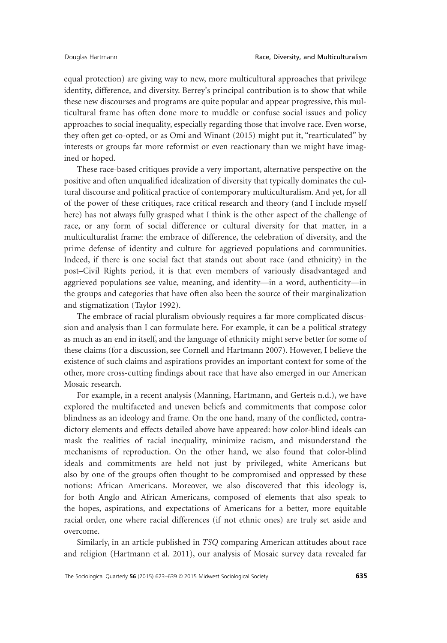equal protection) are giving way to new, more multicultural approaches that privilege identity, difference, and diversity. Berrey's principal contribution is to show that while these new discourses and programs are quite popular and appear progressive, this multicultural frame has often done more to muddle or confuse social issues and policy approaches to social inequality, especially regarding those that involve race. Even worse, they often get co-opted, or as Omi and Winant (2015) might put it, "rearticulated" by interests or groups far more reformist or even reactionary than we might have imagined or hoped.

These race-based critiques provide a very important, alternative perspective on the positive and often unqualified idealization of diversity that typically dominates the cultural discourse and political practice of contemporary multiculturalism. And yet, for all of the power of these critiques, race critical research and theory (and I include myself here) has not always fully grasped what I think is the other aspect of the challenge of race, or any form of social difference or cultural diversity for that matter, in a multiculturalist frame: the embrace of difference, the celebration of diversity, and the prime defense of identity and culture for aggrieved populations and communities. Indeed, if there is one social fact that stands out about race (and ethnicity) in the post–Civil Rights period, it is that even members of variously disadvantaged and aggrieved populations see value, meaning, and identity—in a word, authenticity—in the groups and categories that have often also been the source of their marginalization and stigmatization (Taylor 1992).

The embrace of racial pluralism obviously requires a far more complicated discussion and analysis than I can formulate here. For example, it can be a political strategy as much as an end in itself, and the language of ethnicity might serve better for some of these claims (for a discussion, see Cornell and Hartmann 2007). However, I believe the existence of such claims and aspirations provides an important context for some of the other, more cross-cutting findings about race that have also emerged in our American Mosaic research.

For example, in a recent analysis (Manning, Hartmann, and Gerteis n.d.), we have explored the multifaceted and uneven beliefs and commitments that compose color blindness as an ideology and frame. On the one hand, many of the conflicted, contradictory elements and effects detailed above have appeared: how color-blind ideals can mask the realities of racial inequality, minimize racism, and misunderstand the mechanisms of reproduction. On the other hand, we also found that color-blind ideals and commitments are held not just by privileged, white Americans but also by one of the groups often thought to be compromised and oppressed by these notions: African Americans. Moreover, we also discovered that this ideology is, for both Anglo and African Americans, composed of elements that also speak to the hopes, aspirations, and expectations of Americans for a better, more equitable racial order, one where racial differences (if not ethnic ones) are truly set aside and overcome.

Similarly, in an article published in *TSQ* comparing American attitudes about race and religion (Hartmann et al. 2011), our analysis of Mosaic survey data revealed far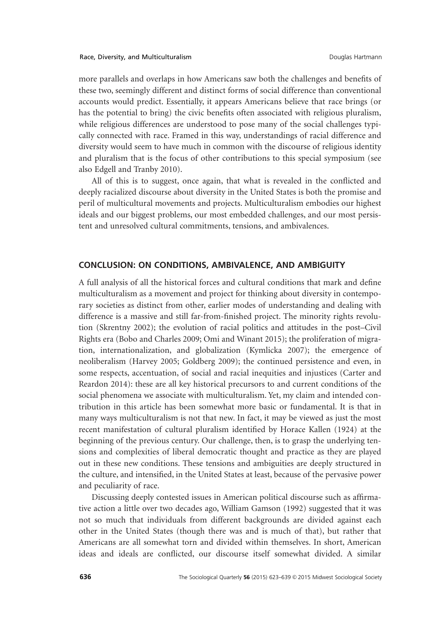more parallels and overlaps in how Americans saw both the challenges and benefits of these two, seemingly different and distinct forms of social difference than conventional accounts would predict. Essentially, it appears Americans believe that race brings (or has the potential to bring) the civic benefits often associated with religious pluralism, while religious differences are understood to pose many of the social challenges typically connected with race. Framed in this way, understandings of racial difference and diversity would seem to have much in common with the discourse of religious identity and pluralism that is the focus of other contributions to this special symposium (see also Edgell and Tranby 2010).

All of this is to suggest, once again, that what is revealed in the conflicted and deeply racialized discourse about diversity in the United States is both the promise and peril of multicultural movements and projects. Multiculturalism embodies our highest ideals and our biggest problems, our most embedded challenges, and our most persistent and unresolved cultural commitments, tensions, and ambivalences.

## **CONCLUSION: ON CONDITIONS, AMBIVALENCE, AND AMBIGUITY**

A full analysis of all the historical forces and cultural conditions that mark and define multiculturalism as a movement and project for thinking about diversity in contemporary societies as distinct from other, earlier modes of understanding and dealing with difference is a massive and still far-from-finished project. The minority rights revolution (Skrentny 2002); the evolution of racial politics and attitudes in the post–Civil Rights era (Bobo and Charles 2009; Omi and Winant 2015); the proliferation of migration, internationalization, and globalization (Kymlicka 2007); the emergence of neoliberalism (Harvey 2005; Goldberg 2009); the continued persistence and even, in some respects, accentuation, of social and racial inequities and injustices (Carter and Reardon 2014): these are all key historical precursors to and current conditions of the social phenomena we associate with multiculturalism. Yet, my claim and intended contribution in this article has been somewhat more basic or fundamental. It is that in many ways multiculturalism is not that new. In fact, it may be viewed as just the most recent manifestation of cultural pluralism identified by Horace Kallen (1924) at the beginning of the previous century. Our challenge, then, is to grasp the underlying tensions and complexities of liberal democratic thought and practice as they are played out in these new conditions. These tensions and ambiguities are deeply structured in the culture, and intensified, in the United States at least, because of the pervasive power and peculiarity of race.

Discussing deeply contested issues in American political discourse such as affirmative action a little over two decades ago, William Gamson (1992) suggested that it was not so much that individuals from different backgrounds are divided against each other in the United States (though there was and is much of that), but rather that Americans are all somewhat torn and divided within themselves. In short, American ideas and ideals are conflicted, our discourse itself somewhat divided. A similar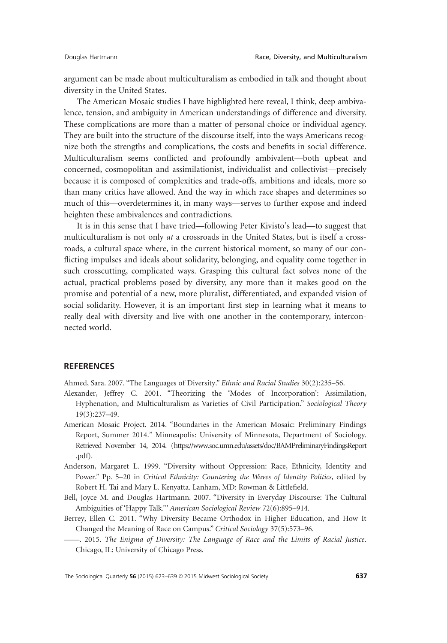argument can be made about multiculturalism as embodied in talk and thought about diversity in the United States.

The American Mosaic studies I have highlighted here reveal, I think, deep ambivalence, tension, and ambiguity in American understandings of difference and diversity. These complications are more than a matter of personal choice or individual agency. They are built into the structure of the discourse itself, into the ways Americans recognize both the strengths and complications, the costs and benefits in social difference. Multiculturalism seems conflicted and profoundly ambivalent—both upbeat and concerned, cosmopolitan and assimilationist, individualist and collectivist—precisely because it is composed of complexities and trade-offs, ambitions and ideals, more so than many critics have allowed. And the way in which race shapes and determines so much of this—overdetermines it, in many ways—serves to further expose and indeed heighten these ambivalences and contradictions.

It is in this sense that I have tried—following Peter Kivisto's lead—to suggest that multiculturalism is not only *at* a crossroads in the United States, but is itself a crossroads, a cultural space where, in the current historical moment, so many of our conflicting impulses and ideals about solidarity, belonging, and equality come together in such crosscutting, complicated ways. Grasping this cultural fact solves none of the actual, practical problems posed by diversity, any more than it makes good on the promise and potential of a new, more pluralist, differentiated, and expanded vision of social solidarity. However, it is an important first step in learning what it means to really deal with diversity and live with one another in the contemporary, interconnected world.

#### **REFERENCES**

Ahmed, Sara. 2007. "The Languages of Diversity." *Ethnic and Racial Studies* 30(2):235–56.

- Alexander, Jeffrey C. 2001. "Theorizing the 'Modes of Incorporation': Assimilation, Hyphenation, and Multiculturalism as Varieties of Civil Participation." *Sociological Theory* 19(3):237–49.
- American Mosaic Project. 2014. "Boundaries in the American Mosaic: Preliminary Findings Report, Summer 2014." Minneapolis: University of Minnesota, Department of Sociology. Retrieved November 14, 2014. (https://www.soc.umn.edu/assets/doc/BAMPreliminaryFindingsReport .pdf).
- Anderson, Margaret L. 1999. "Diversity without Oppression: Race, Ethnicity, Identity and Power." Pp. 5–20 in *Critical Ethnicity: Countering the Waves of Identity Politics*, edited by Robert H. Tai and Mary L. Kenyatta. Lanham, MD: Rowman & Littlefield.
- Bell, Joyce M. and Douglas Hartmann. 2007. "Diversity in Everyday Discourse: The Cultural Ambiguities of 'Happy Talk.'" *American Sociological Review* 72(6):895–914.
- Berrey, Ellen C. 2011. "Why Diversity Became Orthodox in Higher Education, and How It Changed the Meaning of Race on Campus." *Critical Sociology* 37(5):573–96.
- ——. 2015. *The Enigma of Diversity: The Language of Race and the Limits of Racial Justice*. Chicago, IL: University of Chicago Press.

The Sociological Quarterly **56** (2015) 623–639 © 2015 Midwest Sociological Society 637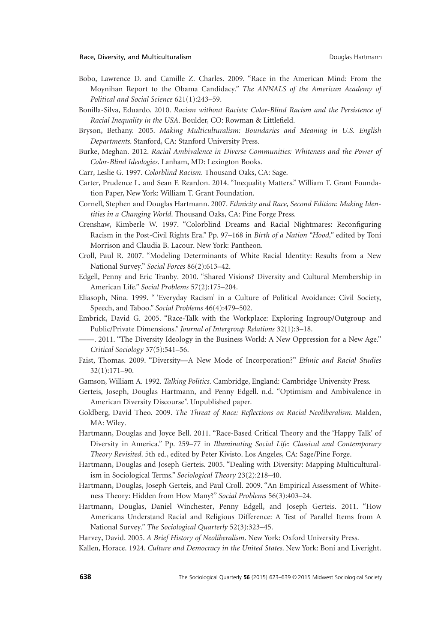- Bobo, Lawrence D. and Camille Z. Charles. 2009. "Race in the American Mind: From the Moynihan Report to the Obama Candidacy." *The ANNALS of the American Academy of Political and Social Science* 621(1):243–59.
- Bonilla-Silva, Eduardo. 2010. *Racism without Racists: Color-Blind Racism and the Persistence of Racial Inequality in the USA*. Boulder, CO: Rowman & Littlefield.
- Bryson, Bethany. 2005. *Making Multiculturalism: Boundaries and Meaning in U.S. English Departments*. Stanford, CA: Stanford University Press.
- Burke, Meghan. 2012. *Racial Ambivalence in Diverse Communities: Whiteness and the Power of Color-Blind Ideologies*. Lanham, MD: Lexington Books.
- Carr, Leslie G. 1997. *Colorblind Racism*. Thousand Oaks, CA: Sage.
- Carter, Prudence L. and Sean F. Reardon. 2014. "Inequality Matters." William T. Grant Foundation Paper, New York: William T. Grant Foundation.
- Cornell, Stephen and Douglas Hartmann. 2007. *Ethnicity and Race, Second Edition: Making Identities in a Changing World*. Thousand Oaks, CA: Pine Forge Press.
- Crenshaw, Kimberle W. 1997. "Colorblind Dreams and Racial Nightmares: Reconfiguring Racism in the Post-Civil Rights Era." Pp. 97–168 in *Birth of a Nation "Hood,"* edited by Toni Morrison and Claudia B. Lacour. New York: Pantheon.
- Croll, Paul R. 2007. "Modeling Determinants of White Racial Identity: Results from a New National Survey." *Social Forces* 86(2):613–42.
- Edgell, Penny and Eric Tranby. 2010. "Shared Visions? Diversity and Cultural Membership in American Life." *Social Problems* 57(2):175–204.
- Eliasoph, Nina. 1999. " 'Everyday Racism' in a Culture of Political Avoidance: Civil Society, Speech, and Taboo." *Social Problems* 46(4):479–502.
- Embrick, David G. 2005. "Race-Talk with the Workplace: Exploring Ingroup/Outgroup and Public/Private Dimensions." *Journal of Intergroup Relations* 32(1):3–18.
- ——. 2011. "The Diversity Ideology in the Business World: A New Oppression for a New Age." *Critical Sociology* 37(5):541–56.
- Faist, Thomas. 2009. "Diversity—A New Mode of Incorporation?" *Ethnic and Racial Studies* 32(1):171–90.
- Gamson, William A. 1992. *Talking Politics*. Cambridge, England: Cambridge University Press.
- Gerteis, Joseph, Douglas Hartmann, and Penny Edgell. n.d. "Optimism and Ambivalence in American Diversity Discourse". Unpublished paper.
- Goldberg, David Theo. 2009. *The Threat of Race: Reflections on Racial Neoliberalism*. Malden, MA: Wiley.
- Hartmann, Douglas and Joyce Bell. 2011. "Race-Based Critical Theory and the 'Happy Talk' of Diversity in America." Pp. 259–77 in *Illuminating Social Life: Classical and Contemporary Theory Revisited*. 5th ed., edited by Peter Kivisto. Los Angeles, CA: Sage/Pine Forge.
- Hartmann, Douglas and Joseph Gerteis. 2005. "Dealing with Diversity: Mapping Multiculturalism in Sociological Terms." *Sociological Theory* 23(2):218–40.
- Hartmann, Douglas, Joseph Gerteis, and Paul Croll. 2009. "An Empirical Assessment of Whiteness Theory: Hidden from How Many?" *Social Problems* 56(3):403–24.
- Hartmann, Douglas, Daniel Winchester, Penny Edgell, and Joseph Gerteis. 2011. "How Americans Understand Racial and Religious Difference: A Test of Parallel Items from A National Survey." *The Sociological Quarterly* 52(3):323–45.

Harvey, David. 2005. *A Brief History of Neoliberalism*. New York: Oxford University Press.

Kallen, Horace. 1924. *Culture and Democracy in the United States*. New York: Boni and Liveright.